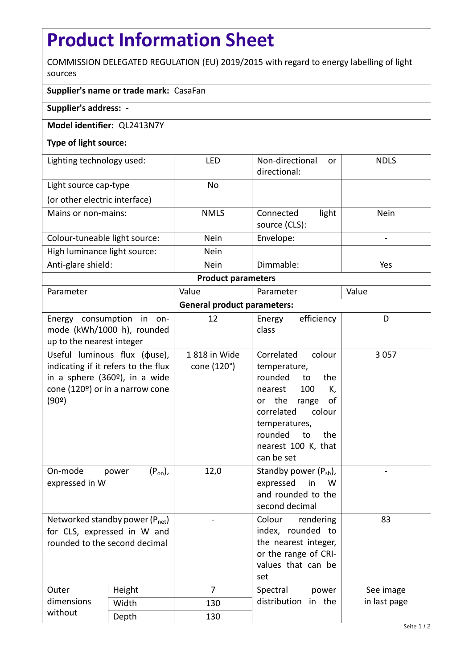## **Product Information Sheet**

COMMISSION DELEGATED REGULATION (EU) 2019/2015 with regard to energy labelling of light sources

## **Supplier's name or trade mark:** CasaFan

**Supplier's address:** -

## **Model identifier:** QL2413N7Y

## **Type of light source:**

| Lighting technology used:     | LED         | Non-directional<br>or<br>directional: | <b>NDLS</b>              |  |  |
|-------------------------------|-------------|---------------------------------------|--------------------------|--|--|
| Light source cap-type         | No          |                                       |                          |  |  |
| (or other electric interface) |             |                                       |                          |  |  |
| Mains or non-mains:           | <b>NMLS</b> | light<br>Connected<br>source (CLS):   | Nein                     |  |  |
| Colour-tuneable light source: | <b>Nein</b> | Envelope:                             | $\overline{\phantom{a}}$ |  |  |
| High luminance light source:  | Nein        |                                       |                          |  |  |
| Anti-glare shield:            | <b>Nein</b> | Dimmable:                             | Yes                      |  |  |
| <b>Product parameters</b>     |             |                                       |                          |  |  |

| Parameter                          |                                                                                                                                                             | Value                       | Parameter                                                                                                                                                                                                           | Value        |  |  |
|------------------------------------|-------------------------------------------------------------------------------------------------------------------------------------------------------------|-----------------------------|---------------------------------------------------------------------------------------------------------------------------------------------------------------------------------------------------------------------|--------------|--|--|
| <b>General product parameters:</b> |                                                                                                                                                             |                             |                                                                                                                                                                                                                     |              |  |  |
| up to the nearest integer          | Energy consumption in on-<br>mode (kWh/1000 h), rounded                                                                                                     | 12                          | efficiency<br>Energy<br>class                                                                                                                                                                                       | D            |  |  |
| (90°)                              | Useful luminous flux ( $\phi$ use),<br>indicating if it refers to the flux<br>in a sphere $(360°)$ , in a wide<br>cone (120 $\degree$ ) or in a narrow cone | 1818 in Wide<br>cone (120°) | Correlated<br>colour<br>temperature,<br>rounded<br>to<br>the<br>100<br>K,<br>nearest<br>or the<br>range<br>οf<br>correlated<br>colour<br>temperatures,<br>rounded<br>the<br>to<br>nearest 100 K, that<br>can be set | 3 0 5 7      |  |  |
| On-mode<br>expressed in W          | $(P_{on})$ ,<br>power                                                                                                                                       | 12,0                        | Standby power $(P_{sb})$ ,<br>expressed<br>in<br>W<br>and rounded to the<br>second decimal                                                                                                                          |              |  |  |
| rounded to the second decimal      | Networked standby power $(P_{net})$<br>for CLS, expressed in W and                                                                                          |                             | Colour<br>rendering<br>index, rounded to<br>the nearest integer,<br>or the range of CRI-<br>values that can be<br>set                                                                                               | 83           |  |  |
| Outer<br>dimensions                | Height                                                                                                                                                      | $\overline{7}$              | Spectral<br>power<br>distribution<br>in the                                                                                                                                                                         | See image    |  |  |
|                                    | Width                                                                                                                                                       | 130                         |                                                                                                                                                                                                                     | in last page |  |  |
| without                            | Depth                                                                                                                                                       | 130                         |                                                                                                                                                                                                                     |              |  |  |